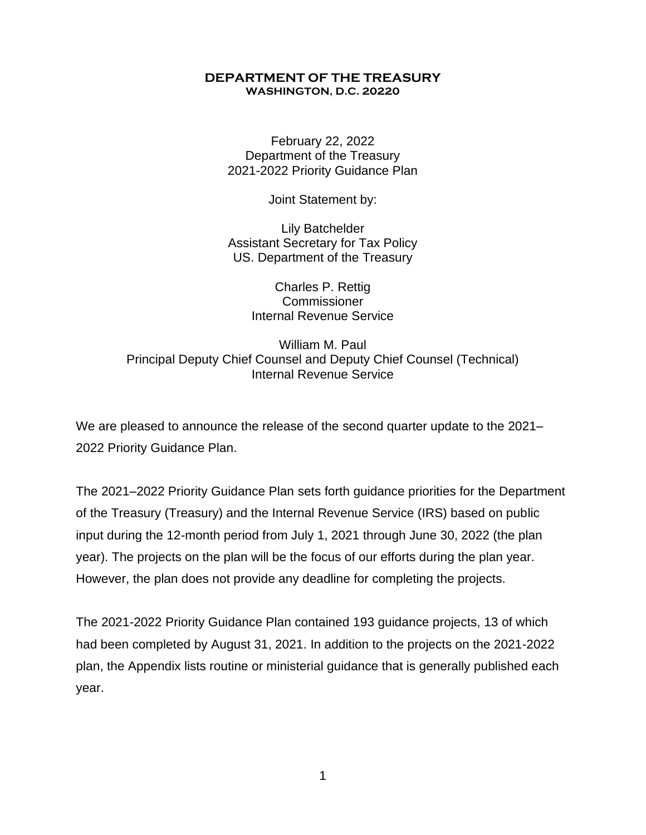#### **WASHINGTON, D.C. 20220 DEPARTMENT OF THE TREASURY**

February 22, 2022 Department of the Treasury 2021-2022 Priority Guidance Plan

Joint Statement by:

Lily Batchelder Assistant Secretary for Tax Policy US. Department of the Treasury

> Charles P. Rettig **Commissioner** Internal Revenue Service

William M. Paul Principal Deputy Chief Counsel and Deputy Chief Counsel (Technical) Internal Revenue Service

 We are pleased to announce the release of the second quarter update to the 2021– 2022 Priority Guidance Plan.

 The 2021–2022 Priority Guidance Plan sets forth guidance priorities for the Department input during the 12-month period from July 1, 2021 through June 30, 2022 (the plan year). The projects on the plan will be the focus of our efforts during the plan year. However, the plan does not provide any deadline for completing the projects. of the Treasury (Treasury) and the Internal Revenue Service (IRS) based on public

 plan, the Appendix lists routine or ministerial guidance that is generally published each The 2021-2022 Priority Guidance Plan contained 193 guidance projects, 13 of which had been completed by August 31, 2021. In addition to the projects on the 2021-2022 year.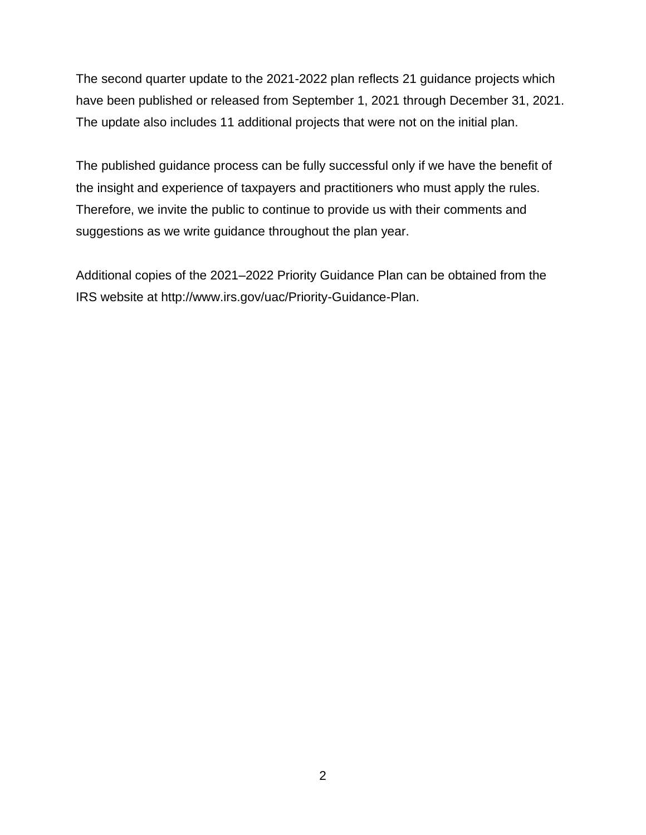have been published or released from September 1, 2021 through December 31, 2021. The update also includes 11 additional projects that were not on the initial plan. The second quarter update to the 2021-2022 plan reflects 21 guidance projects which

 Therefore, we invite the public to continue to provide us with their comments and The published guidance process can be fully successful only if we have the benefit of the insight and experience of taxpayers and practitioners who must apply the rules. suggestions as we write guidance throughout the plan year.

 Additional copies of the 2021–2022 Priority Guidance Plan can be obtained from the IRS website at <http://www.irs.gov/uac/Priority-Guidance-Plan>.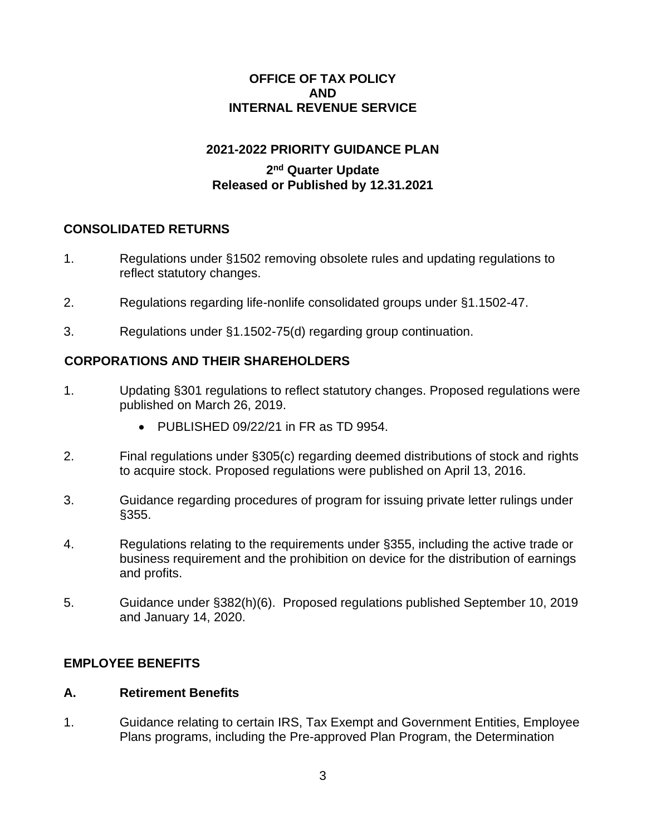## **OFFICE OF TAX POLICY AND INTERNAL REVENUE SERVICE**

# **2021-2022 PRIORITY GUIDANCE PLAN**

## **2nd Quarter Update Released or Published by 12.31.2021**

## **CONSOLIDATED RETURNS**

- 1. Regulations under §1502 removing obsolete rules and updating regulations to reflect statutory changes.
- 2. Regulations regarding life-nonlife consolidated groups under §1.1502-47.
- 3. Regulations under §1.1502-75(d) regarding group continuation.

# **CORPORATIONS AND THEIR SHAREHOLDERS**

- 1. Updating §301 regulations to reflect statutory changes. Proposed regulations were published on March 26, 2019.
	- PUBLISHED 09/22/21 in FR as TD 9954.
- 2. Final regulations under §305(c) regarding deemed distributions of stock and rights to acquire stock. Proposed regulations were published on April 13, 2016.
- 3. Guidance regarding procedures of program for issuing private letter rulings under §355.
- business requirement and the prohibition on device for the distribution of earnings 4. Regulations relating to the requirements under §355, including the active trade or and profits.
- 5. Guidance under §382(h)(6). Proposed regulations published September 10, 2019 and January 14, 2020.

### **EMPLOYEE BENEFITS**

### **A. Retirement Benefits**

1. Guidance relating to certain IRS, Tax Exempt and Government Entities, Employee Plans programs, including the Pre-approved Plan Program, the Determination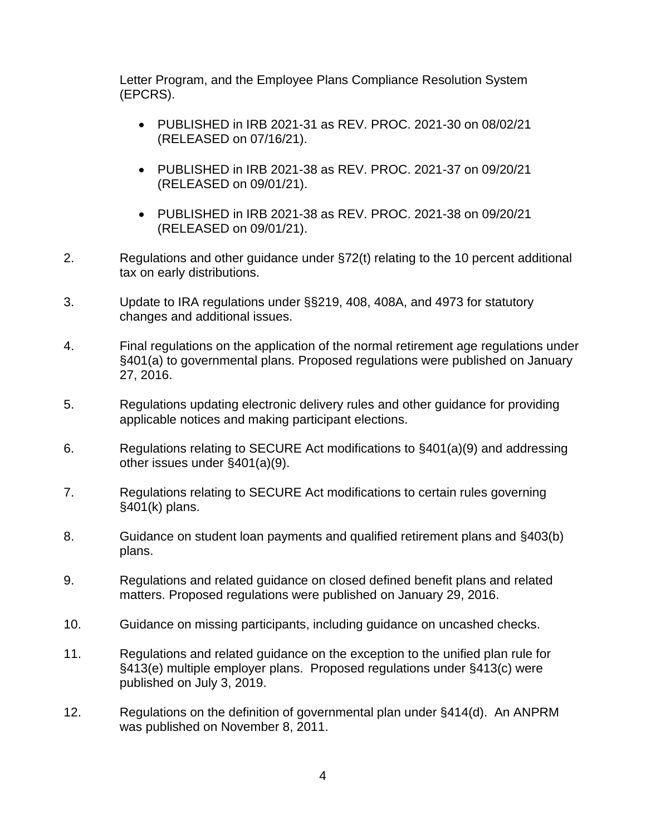Letter Program, and the Employee Plans Compliance Resolution System (EPCRS).

- • PUBLISHED in IRB 2021-31 as REV. PROC. 2021-30 on 08/02/21 (RELEASED on 07/16/21).
- • PUBLISHED in IRB 2021-38 as REV. PROC. 2021-37 on 09/20/21 (RELEASED on 09/01/21).
- PUBLISHED in IRB 2021-38 as REV. PROC. 2021-38 on 09/20/21 (RELEASED on 09/01/21).
- 2. Regulations and other guidance under §72(t) relating to the 10 percent additional tax on early distributions.
- 3. Update to IRA regulations under §§219, 408, 408A, and 4973 for statutory changes and additional issues.
- 4. Final regulations on the application of the normal retirement age regulations under §401(a) to governmental plans. Proposed regulations were published on January 27, 2016.
- 5. Regulations updating electronic delivery rules and other guidance for providing applicable notices and making participant elections.
- 6. Regulations relating to SECURE Act modifications to §401(a)(9) and addressing other issues under §401(a)(9).
- 7. Regulations relating to SECURE Act modifications to certain rules governing §401(k) plans.
- 8. Guidance on student loan payments and qualified retirement plans and §403(b) plans.
- 9. Regulations and related guidance on closed defined benefit plans and related matters. Proposed regulations were published on January 29, 2016.
- 10. Guidance on missing participants, including guidance on uncashed checks.
- §413(e) multiple employer plans. Proposed regulations under §413(c) were 11. Regulations and related guidance on the exception to the unified plan rule for published on July 3, 2019.
- 12. Regulations on the definition of governmental plan under §414(d). An ANPRM was published on November 8, 2011.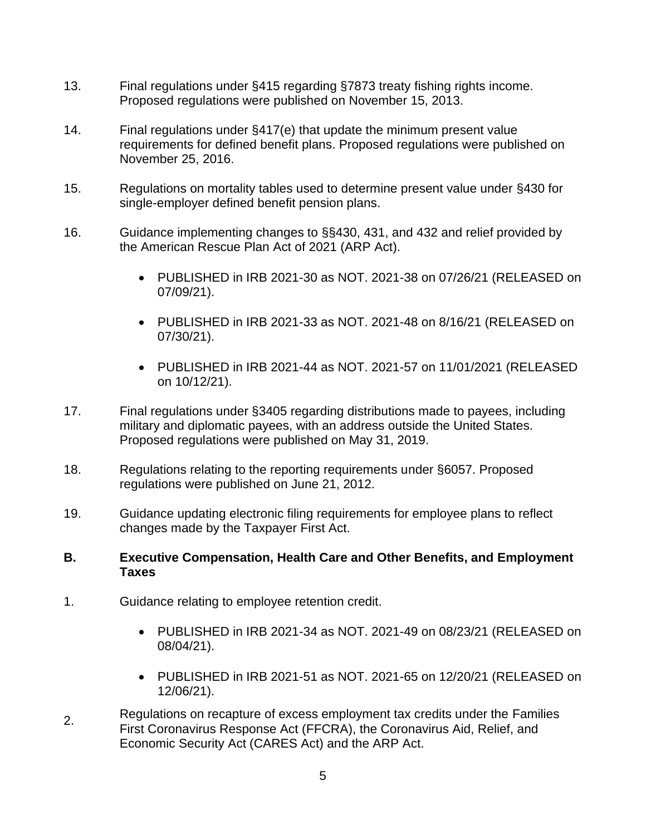- 13. Final regulations under §415 regarding §7873 treaty fishing rights income. Proposed regulations were published on November 15, 2013.
- 14. Final regulations under §417(e) that update the minimum present value requirements for defined benefit plans. Proposed regulations were published on November 25, 2016.
- 15. Regulations on mortality tables used to determine present value under §430 for single-employer defined benefit pension plans.
- 16. Guidance implementing changes to §§430, 431, and 432 and relief provided by the American Rescue Plan Act of 2021 (ARP Act).
	- PUBLISHED in IRB 2021-30 as NOT. 2021-38 on 07/26/21 (RELEASED on 07/09/21).
	- PUBLISHED in IRB 2021-33 as NOT. 2021-48 on 8/16/21 (RELEASED on 07/30/21).
	- • PUBLISHED in IRB 2021-44 as NOT. 2021-57 on 11/01/2021 (RELEASED on 10/12/21).
- military and diplomatic payees, with an address outside the United States. 17. Final regulations under §3405 regarding distributions made to payees, including Proposed regulations were published on May 31, 2019.
- 18. Regulations relating to the reporting requirements under §6057. Proposed regulations were published on June 21, 2012.
- changes made by the Taxpayer First Act. 19. Guidance updating electronic filing requirements for employee plans to reflect

### **B. Executive Compensation, Health Care and Other Benefits, and Employment Taxes**

- 1. Guidance relating to employee retention credit.
	- PUBLISHED in IRB 2021-34 as NOT. 2021-49 on 08/23/21 (RELEASED on 08/04/21).
	- • PUBLISHED in IRB 2021-51 as NOT. 2021-65 on 12/20/21 (RELEASED on 12/06/21).
- Economic Security Act (CARES Act) and the ARP Act. Regulations on recapture of excess employment tax credits under the Families 2. First Coronavirus Response Act (FFCRA), the Coronavirus Aid, Relief, and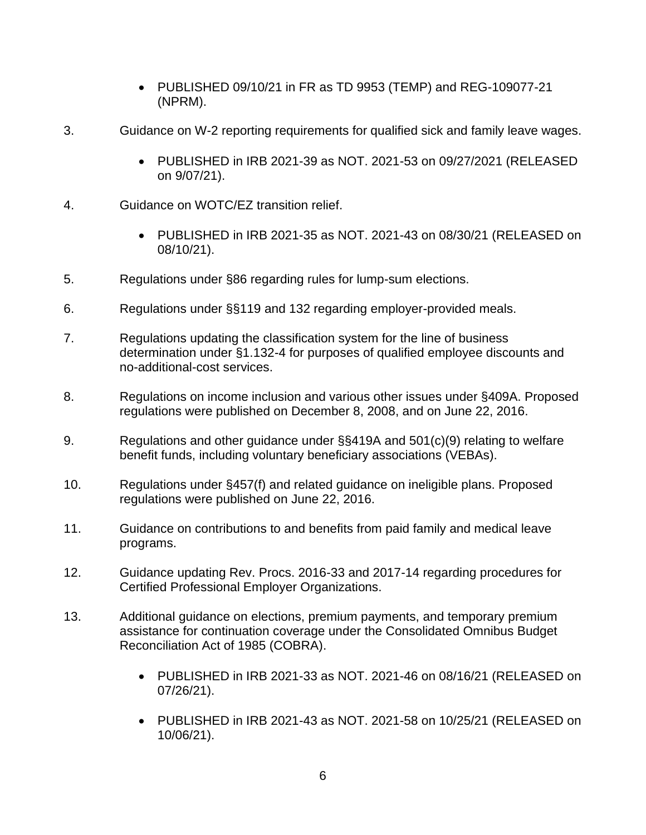- PUBLISHED 09/10/21 in FR as TD 9953 (TEMP) and REG-109077-21 (NPRM).
- 3. Guidance on W-2 reporting requirements for qualified sick and family leave wages.
	- • PUBLISHED in IRB 2021-39 as NOT. 2021-53 on 09/27/2021 (RELEASED on 9/07/21).
- 4. Guidance on WOTC/EZ transition relief.
	- PUBLISHED in IRB 2021-35 as NOT. 2021-43 on 08/30/21 (RELEASED on 08/10/21).
- 5. Regulations under §86 regarding rules for lump-sum elections.
- 6. Regulations under §§119 and 132 regarding employer-provided meals.
- 7. Regulations updating the classification system for the line of business determination under §1.132-4 for purposes of qualified employee discounts and no-additional-cost services.
- 8. Regulations on income inclusion and various other issues under §409A. Proposed regulations were published on December 8, 2008, and on June 22, 2016.
- 9. Regulations and other guidance under §§419A and 501(c)(9) relating to welfare benefit funds, including voluntary beneficiary associations (VEBAs).
- 10. Regulations under §457(f) and related guidance on ineligible plans. Proposed regulations were published on June 22, 2016.
- 11. Guidance on contributions to and benefits from paid family and medical leave programs.
- 12. Guidance updating Rev. Procs. 2016-33 and 2017-14 regarding procedures for Certified Professional Employer Organizations.
- 13. Additional guidance on elections, premium payments, and temporary premium assistance for continuation coverage under the Consolidated Omnibus Budget Reconciliation Act of 1985 (COBRA).
	- PUBLISHED in IRB 2021-33 as NOT. 2021-46 on 08/16/21 (RELEASED on 07/26/21).
	- • PUBLISHED in IRB 2021-43 as NOT. 2021-58 on 10/25/21 (RELEASED on 10/06/21).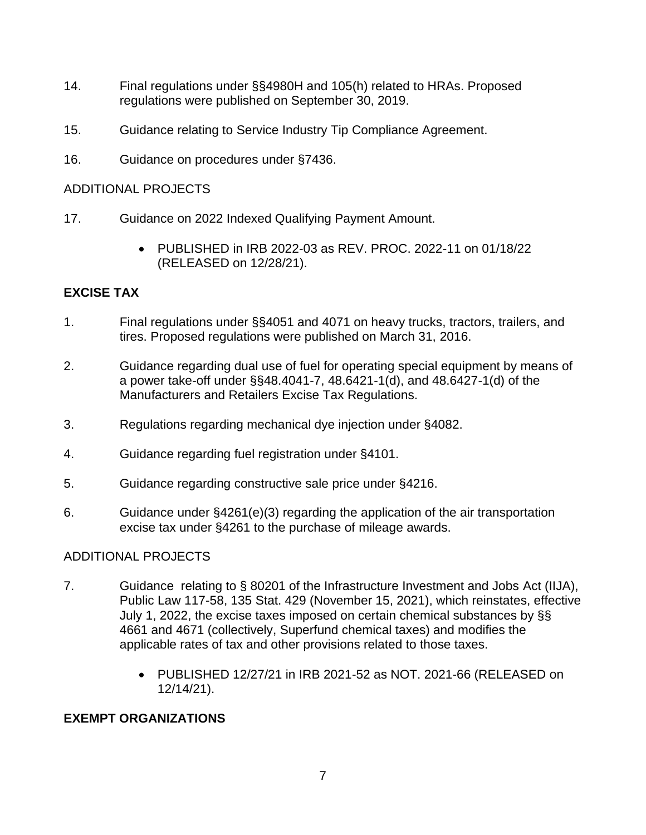- regulations were published on September 30, 2019. 14. Final regulations under §§4980H and 105(h) related to HRAs. Proposed
- 15. Guidance relating to Service Industry Tip Compliance Agreement.
- 16. Guidance on procedures under §7436.

## ADDITIONAL PROJECTS

- 17. Guidance on 2022 Indexed Qualifying Payment Amount.
	- • PUBLISHED in IRB 2022-03 as REV. PROC. 2022-11 on 01/18/22 (RELEASED on 12/28/21).

# **EXCISE TAX**

- 1. Final regulations under §§4051 and 4071 on heavy trucks, tractors, trailers, and tires. Proposed regulations were published on March 31, 2016.
- 2. Guidance regarding dual use of fuel for operating special equipment by means of a power take-off under §§48.4041-7, 48.6421-1(d), and 48.6427-1(d) of the Manufacturers and Retailers Excise Tax Regulations.
- 3. Regulations regarding mechanical dye injection under §4082.
- 4. Guidance regarding fuel registration under §4101.
- 5. Guidance regarding constructive sale price under §4216.
- 6. Guidance under §4261(e)(3) regarding the application of the air transportation excise tax under §4261 to the purchase of mileage awards.

# ADDITIONAL PROJECTS

- 7. Guidance relating to § 80201 of the Infrastructure Investment and Jobs Act (IIJA), Public Law 117-58, 135 Stat. 429 (November 15, 2021), which reinstates, effective July 1, 2022, the excise taxes imposed on certain chemical substances by §§ 4661 and 4671 (collectively, Superfund chemical taxes) and modifies the applicable rates of tax and other provisions related to those taxes.
	- PUBLISHED 12/27/21 in IRB 2021-52 as NOT. 2021-66 (RELEASED on 12/14/21).

# **EXEMPT ORGANIZATIONS**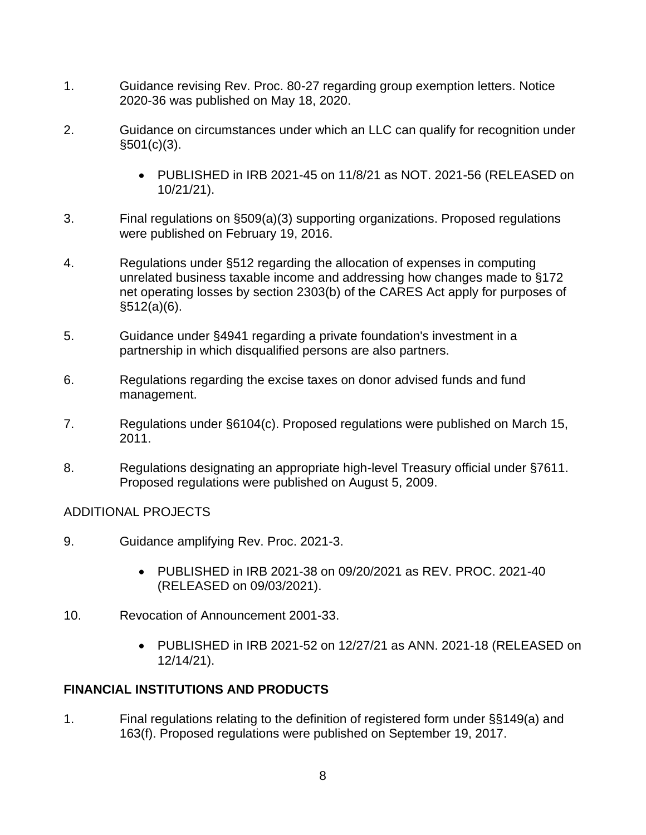- 1. Guidance revising Rev. Proc. 80-27 regarding group exemption letters. Notice 2020-36 was published on May 18, 2020.
- 2. Guidance on circumstances under which an LLC can qualify for recognition under  $§501(c)(3)$ .
	- • PUBLISHED in IRB 2021-45 on 11/8/21 as NOT. 2021-56 (RELEASED on 10/21/21).
- 3. Final regulations on §509(a)(3) supporting organizations. Proposed regulations were published on February 19, 2016.
- 4. Regulations under §512 regarding the allocation of expenses in computing unrelated business taxable income and addressing how changes made to §172 net operating losses by section 2303(b) of the CARES Act apply for purposes of §512(a)(6).
- 5. Guidance under §4941 regarding a private foundation's investment in a partnership in which disqualified persons are also partners.
- 6. Regulations regarding the excise taxes on donor advised funds and fund management.
- 7. Regulations under §6104(c). Proposed regulations were published on March 15, 2011.
- 8. Regulations designating an appropriate high-level Treasury official under §7611. Proposed regulations were published on August 5, 2009.

# ADDITIONAL PROJECTS

- 9. Guidance amplifying Rev. Proc. 2021-3.
	- PUBLISHED in IRB 2021-38 on 09/20/2021 as REV. PROC. 2021-40 (RELEASED on 09/03/2021).
- 10. Revocation of Announcement 2001-33.
	- • PUBLISHED in IRB 2021-52 on 12/27/21 as ANN. 2021-18 (RELEASED on 12/14/21).

# **FINANCIAL INSTITUTIONS AND PRODUCTS**

1. Final regulations relating to the definition of registered form under §§149(a) and 163(f). Proposed regulations were published on September 19, 2017.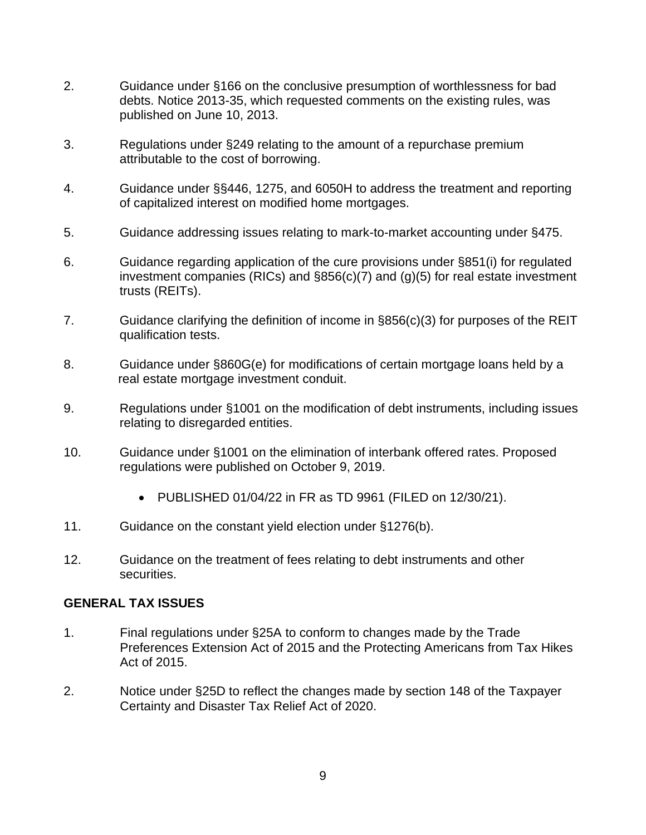- published on June 10, 2013. 2. Guidance under §166 on the conclusive presumption of worthlessness for bad debts. Notice 2013-35, which requested comments on the existing rules, was
- 3. Regulations under §249 relating to the amount of a repurchase premium attributable to the cost of borrowing.
- 4. Guidance under §§446, 1275, and 6050H to address the treatment and reporting of capitalized interest on modified home mortgages.
- 5. Guidance addressing issues relating to mark-to-market accounting under §475.
- 6. Guidance regarding application of the cure provisions under §851(i) for regulated investment companies (RICs) and §856(c)(7) and (g)(5) for real estate investment trusts (REITs).
- 7. Guidance clarifying the definition of income in §856(c)(3) for purposes of the REIT qualification tests.
- 8. Guidance under §860G(e) for modifications of certain mortgage loans held by a real estate mortgage investment conduit.
- 9. Regulations under §1001 on the modification of debt instruments, including issues relating to disregarded entities.
- regulations were published on October 9, 2019. 10. Guidance under §1001 on the elimination of interbank offered rates. Proposed
	- PUBLISHED 01/04/22 in FR as TD 9961 (FILED on 12/30/21).
- 11. Guidance on the constant yield election under §1276(b).
- 12. Guidance on the treatment of fees relating to debt instruments and other securities.

## **GENERAL TAX ISSUES**

- 1. Final regulations under §25A to conform to changes made by the Trade Preferences Extension Act of 2015 and the Protecting Americans from Tax Hikes Act of 2015.
- 2. Notice under §25D to reflect the changes made by section 148 of the Taxpayer Certainty and Disaster Tax Relief Act of 2020.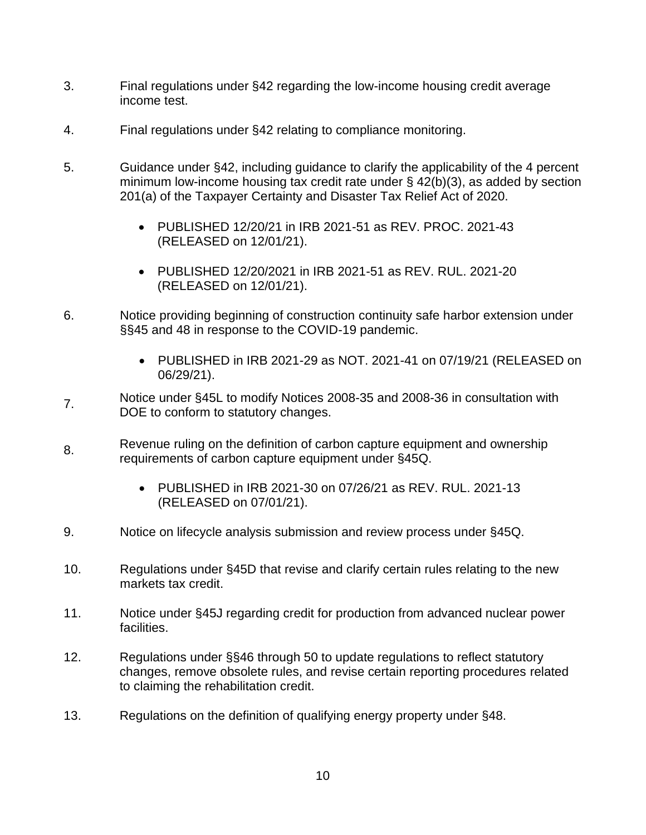- 3. Final regulations under §42 regarding the low-income housing credit average income test.
- 4. Final regulations under §42 relating to compliance monitoring.
- 5. Guidance under §42, including guidance to clarify the applicability of the 4 percent minimum low-income housing tax credit rate under § 42(b)(3), as added by section 201(a) of the Taxpayer Certainty and Disaster Tax Relief Act of 2020.
	- PUBLISHED 12/20/21 in IRB 2021-51 as REV. PROC. 2021-43 (RELEASED on 12/01/21).
	- PUBLISHED 12/20/2021 in IRB 2021-51 as REV. RUL. 2021-20 (RELEASED on 12/01/21).
- 6. Notice providing beginning of construction continuity safe harbor extension under §§45 and 48 in response to the COVID-19 pandemic.
	- • PUBLISHED in IRB 2021-29 as NOT. 2021-41 on 07/19/21 (RELEASED on 06/29/21).
- Notice under §45L to modify Notices 2008-35 and 2008-36 in consultation with 7. DOE to conform to statutory changes.
- Revenue ruling on the definition of carbon capture equipment and ownership requirements of carbon capture equipment under §45Q.
	- • PUBLISHED in IRB 2021-30 on 07/26/21 as REV. RUL. 2021-13 (RELEASED on 07/01/21).
- 9. Notice on lifecycle analysis submission and review process under §45Q.
- 10. Regulations under §45D that revise and clarify certain rules relating to the new markets tax credit.
- 11. Notice under §45J regarding credit for production from advanced nuclear power facilities.
- 12. Regulations under §§46 through 50 to update regulations to reflect statutory changes, remove obsolete rules, and revise certain reporting procedures related to claiming the rehabilitation credit.
- 13. Regulations on the definition of qualifying energy property under §48.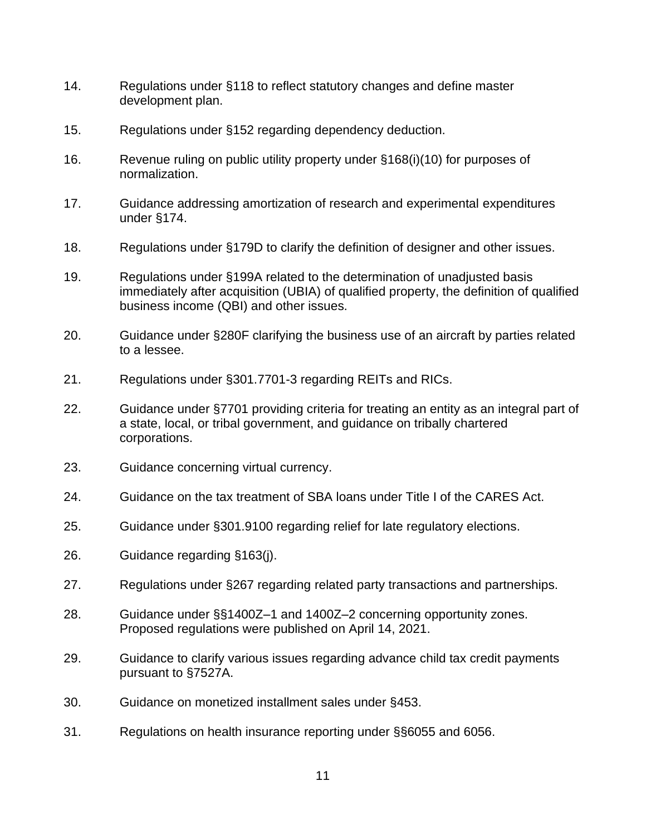- 14. Regulations under §118 to reflect statutory changes and define master development plan.
- 15. Regulations under §152 regarding dependency deduction.
- 16. Revenue ruling on public utility property under §168(i)(10) for purposes of normalization.
- 17. Guidance addressing amortization of research and experimental expenditures under §174.
- 18. Regulations under §179D to clarify the definition of designer and other issues.
- 19. Regulations under §199A related to the determination of unadjusted basis immediately after acquisition (UBIA) of qualified property, the definition of qualified business income (QBI) and other issues.
- 20. Guidance under §280F clarifying the business use of an aircraft by parties related to a lessee.
- 21. Regulations under §301.7701-3 regarding REITs and RICs.
- 22. Guidance under §7701 providing criteria for treating an entity as an integral part of a state, local, or tribal government, and guidance on tribally chartered corporations.
- 23. Guidance concerning virtual currency.
- 24. Guidance on the tax treatment of SBA loans under Title I of the CARES Act.
- 25. Guidance under §301.9100 regarding relief for late regulatory elections.
- 26. Guidance regarding §163(j).
- 27. Regulations under §267 regarding related party transactions and partnerships.
- 28. Guidance under §§1400Z–1 and 1400Z–2 concerning opportunity zones. Proposed regulations were published on April 14, 2021.
- 29. Guidance to clarify various issues regarding advance child tax credit payments pursuant to §7527A.
- 30. Guidance on monetized installment sales under §453.
- 31. Regulations on health insurance reporting under §§6055 and 6056.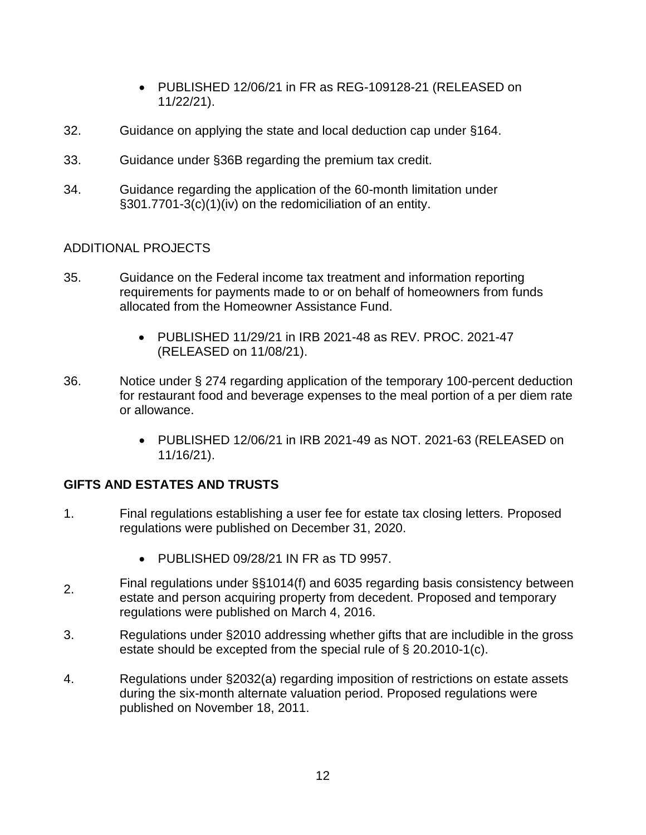- PUBLISHED 12/06/21 in FR as REG-109128-21 (RELEASED on 11/22/21).
- 32. Guidance on applying the state and local deduction cap under §164.
- 33. Guidance under §36B regarding the premium tax credit.
- 34. Guidance regarding the application of the 60-month limitation under §301.7701-3(c)(1)(iv) on the redomiciliation of an entity.

## ADDITIONAL PROJECTS

- 35. Guidance on the Federal income tax treatment and information reporting requirements for payments made to or on behalf of homeowners from funds allocated from the Homeowner Assistance Fund.
	- PUBLISHED 11/29/21 in IRB 2021-48 as REV. PROC. 2021-47 (RELEASED on 11/08/21).
- 36. Notice under § 274 regarding application of the temporary 100-percent deduction for restaurant food and beverage expenses to the meal portion of a per diem rate or allowance.
	- PUBLISHED 12/06/21 in IRB 2021-49 as NOT. 2021-63 (RELEASED on 11/16/21).

# **GIFTS AND ESTATES AND TRUSTS**

- 1. Final regulations establishing a user fee for estate tax closing letters. Proposed regulations were published on December 31, 2020.
	- PUBLISHED 09/28/21 IN FR as TD 9957.
- Final regulations under §§1014(f) and 6035 regarding basis consistency between 2. estate and person acquiring property from decedent. Proposed and temporary regulations were published on March 4, 2016.
- 3. Regulations under §2010 addressing whether gifts that are includible in the gross estate should be excepted from the special rule of § 20.2010-1(c).
- 4. Regulations under §2032(a) regarding imposition of restrictions on estate assets during the six-month alternate valuation period. Proposed regulations were published on November 18, 2011.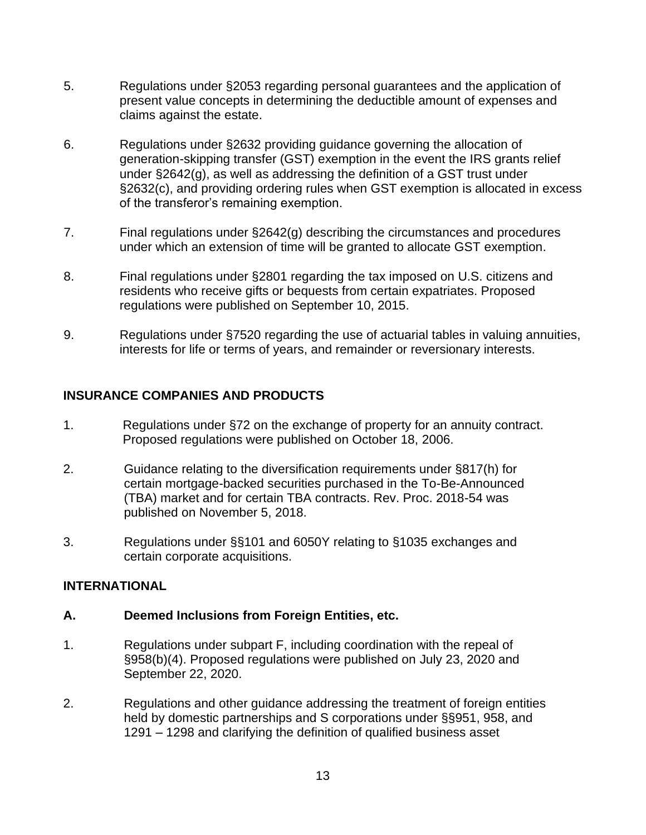- 5. Regulations under §2053 regarding personal guarantees and the application of present value concepts in determining the deductible amount of expenses and claims against the estate.
- 6. Regulations under §2632 providing guidance governing the allocation of generation-skipping transfer (GST) exemption in the event the IRS grants relief under §2642(g), as well as addressing the definition of a GST trust under §2632(c), and providing ordering rules when GST exemption is allocated in excess of the transferor's remaining exemption.
- 7. Final regulations under §2642(g) describing the circumstances and procedures under which an extension of time will be granted to allocate GST exemption.
- regulations were published on September 10, 2015. 8. Final regulations under §2801 regarding the tax imposed on U.S. citizens and residents who receive gifts or bequests from certain expatriates. Proposed
- 9. Regulations under §7520 regarding the use of actuarial tables in valuing annuities, interests for life or terms of years, and remainder or reversionary interests.

# **INSURANCE COMPANIES AND PRODUCTS**

- 1. Regulations under §72 on the exchange of property for an annuity contract. Proposed regulations were published on October 18, 2006.
- (TBA) market and for certain TBA contracts. Rev. Proc. 2018-54 was 2. Guidance relating to the diversification requirements under §817(h) for certain mortgage-backed securities purchased in the To-Be-Announced published on November 5, 2018.
- 3. Regulations under §§101 and 6050Y relating to §1035 exchanges and certain corporate acquisitions.

### **INTERNATIONAL**

### **A. Deemed Inclusions from Foreign Entities, etc.**

- §958(b)(4). Proposed regulations were published on July 23, 2020 and 1. Regulations under subpart F, including coordination with the repeal of September 22, 2020.
- 2. Regulations and other guidance addressing the treatment of foreign entities held by domestic partnerships and S corporations under §§951, 958, and 1291 – 1298 and clarifying the definition of qualified business asset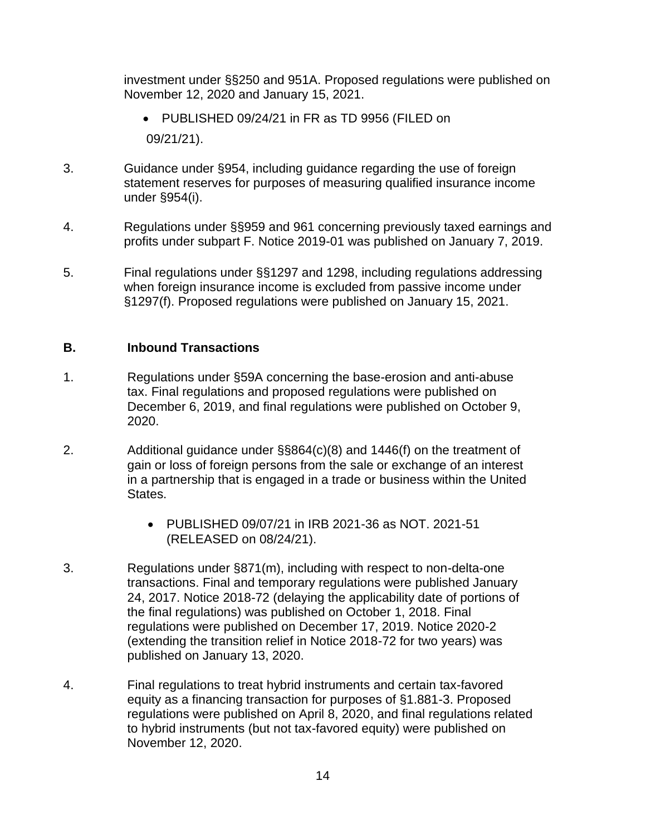investment under §§250 and 951A. Proposed regulations were published on November 12, 2020 and January 15, 2021.

- PUBLISHED 09/24/21 in FR as TD 9956 (FILED on 09/21/21).
- 3. Guidance under §954, including guidance regarding the use of foreign statement reserves for purposes of measuring qualified insurance income under §954(i).
- 4. Regulations under §§959 and 961 concerning previously taxed earnings and profits under subpart F. Notice 2019-01 was published on January 7, 2019.
- when foreign insurance income is excluded from passive income under 5. Final regulations under §§1297 and 1298, including regulations addressing §1297(f). Proposed regulations were published on January 15, 2021.

### **B. Inbound Transactions**

- 1. Regulations under §59A concerning the base-erosion and anti-abuse tax. Final regulations and proposed regulations were published on December 6, 2019, and final regulations were published on October 9, 2020.
- 2. Additional guidance under §§864(c)(8) and 1446(f) on the treatment of gain or loss of foreign persons from the sale or exchange of an interest in a partnership that is engaged in a trade or business within the United States.
	- PUBLISHED 09/07/21 in IRB 2021-36 as NOT. 2021-51 (RELEASED on 08/24/21).
- 3. Regulations under §871(m), including with respect to non-delta-one transactions. Final and temporary regulations were published January 24, 2017. Notice 2018-72 (delaying the applicability date of portions of the final regulations) was published on October 1, 2018. Final regulations were published on December 17, 2019. Notice 2020-2 (extending the transition relief in Notice 2018-72 for two years) was published on January 13, 2020.
- regulations were published on April 8, 2020, and final regulations related 4. Final regulations to treat hybrid instruments and certain tax-favored equity as a financing transaction for purposes of §1.881-3. Proposed to hybrid instruments (but not tax-favored equity) were published on November 12, 2020.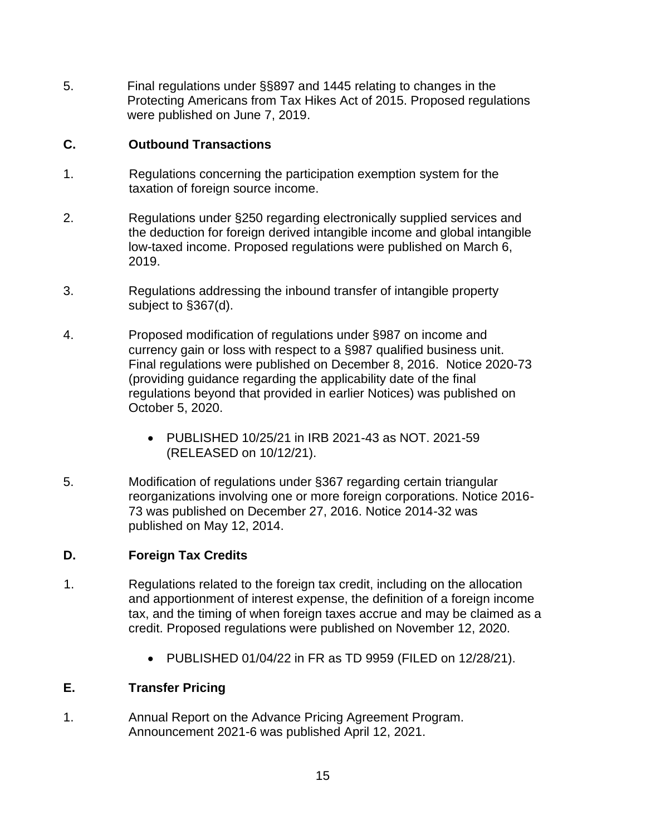5. Final regulations under §§897 and 1445 relating to changes in the Protecting Americans from Tax Hikes Act of 2015. Proposed regulations were published on June 7, 2019.

## **C. Outbound Transactions**

- 1. Regulations concerning the participation exemption system for the taxation of foreign source income.
- 2. Regulations under §250 regarding electronically supplied services and the deduction for foreign derived intangible income and global intangible low-taxed income. Proposed regulations were published on March 6, 2019.
- subject to §367(d). 3. Regulations addressing the inbound transfer of intangible property
- 4. Proposed modification of regulations under §987 on income and currency gain or loss with respect to a §987 qualified business unit. Final regulations were published on December 8, 2016. Notice 2020-73 (providing guidance regarding the applicability date of the final regulations beyond that provided in earlier Notices) was published on October 5, 2020.
	- PUBLISHED 10/25/21 in IRB 2021-43 as NOT. 2021-59 (RELEASED on 10/12/21).
- 5. Modification of regulations under §367 regarding certain triangular reorganizations involving one or more foreign corporations. Notice 2016- 73 was published on December 27, 2016. Notice 2014-32 was published on May 12, 2014.

# **D. Foreign Tax Credits**

- 1. Regulations related to the foreign tax credit, including on the allocation credit. Proposed regulations were published on November 12, 2020. and apportionment of interest expense, the definition of a foreign income tax, and the timing of when foreign taxes accrue and may be claimed as a
	- PUBLISHED 01/04/22 in FR as TD 9959 (FILED on 12/28/21).

# **E. Transfer Pricing**

1. Annual Report on the Advance Pricing Agreement Program. Announcement 2021-6 was published April 12, 2021.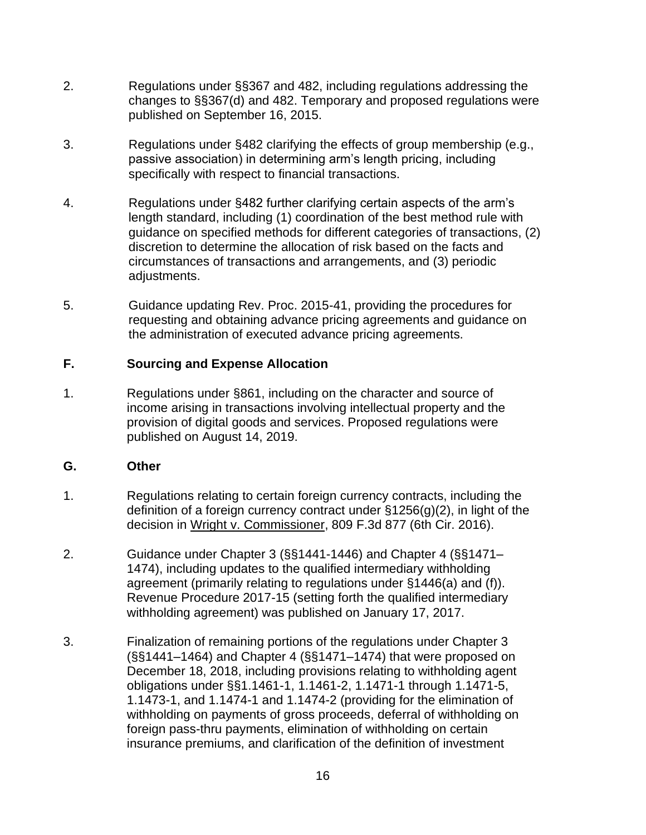- 2. Regulations under §§367 and 482, including regulations addressing the changes to §§367(d) and 482. Temporary and proposed regulations were published on September 16, 2015.
- 3. Regulations under §482 clarifying the effects of group membership (e.g., passive association) in determining arm's length pricing, including specifically with respect to financial transactions.
- discretion to determine the allocation of risk based on the facts and 4. Regulations under §482 further clarifying certain aspects of the arm's length standard, including (1) coordination of the best method rule with guidance on specified methods for different categories of transactions, (2) circumstances of transactions and arrangements, and (3) periodic adjustments.
- 5. Guidance updating Rev. Proc. 2015-41, providing the procedures for requesting and obtaining advance pricing agreements and guidance on the administration of executed advance pricing agreements.

### **F. Sourcing and Expense Allocation**

1. Regulations under §861, including on the character and source of income arising in transactions involving intellectual property and the provision of digital goods and services. Proposed regulations were published on August 14, 2019.

### **G. Other**

- 1. Regulations relating to certain foreign currency contracts, including the definition of a foreign currency contract under §1256(g)(2), in light of the decision in Wright v. Commissioner, 809 F.3d 877 (6th Cir. 2016).
- 2. Guidance under Chapter 3 (§§1441-1446) and Chapter 4 (§§1471– 1474), including updates to the qualified intermediary withholding agreement (primarily relating to regulations under §1446(a) and (f)). Revenue Procedure 2017-15 (setting forth the qualified intermediary withholding agreement) was published on January 17, 2017.
- (§§1441–1464) and Chapter 4 (§§1471–1474) that were proposed on 1.1473-1, and 1.1474-1 and 1.1474-2 (providing for the elimination of withholding on payments of gross proceeds, deferral of withholding on 3. Finalization of remaining portions of the regulations under Chapter 3 December 18, 2018, including provisions relating to withholding agent obligations under §§1.1461-1, 1.1461-2, 1.1471-1 through 1.1471-5, foreign pass-thru payments, elimination of withholding on certain insurance premiums, and clarification of the definition of investment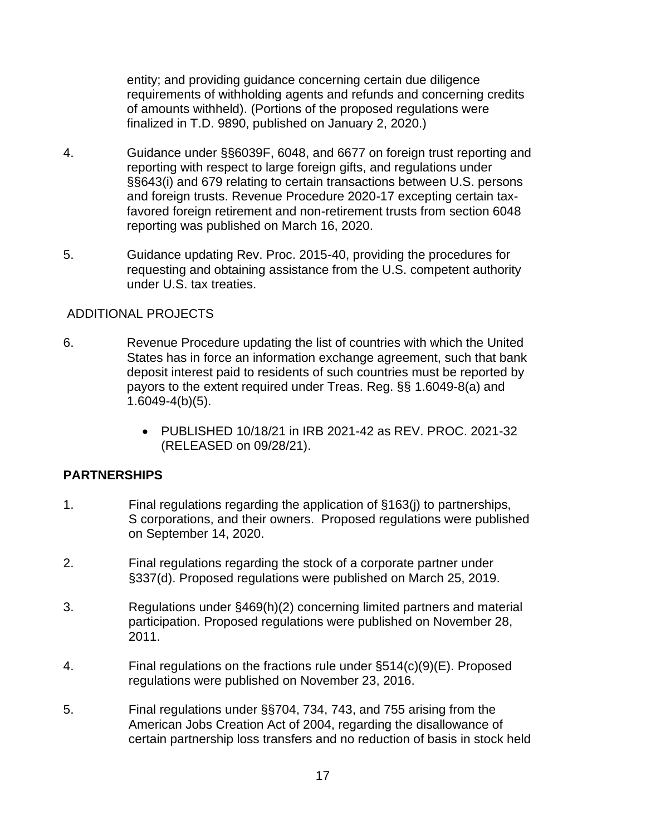entity; and providing guidance concerning certain due diligence requirements of withholding agents and refunds and concerning credits of amounts withheld). (Portions of the proposed regulations were finalized in T.D. 9890, published on January 2, 2020.)

- 4. Guidance under §§6039F, 6048, and 6677 on foreign trust reporting and reporting with respect to large foreign gifts, and regulations under §§643(i) and 679 relating to certain transactions between U.S. persons and foreign trusts. Revenue Procedure 2020-17 excepting certain taxfavored foreign retirement and non-retirement trusts from section 6048 reporting was published on March 16, 2020.
- 5. Guidance updating Rev. Proc. 2015-40, providing the procedures for requesting and obtaining assistance from the U.S. competent authority under U.S. tax treaties.

### ADDITIONAL PROJECTS

- 6. Revenue Procedure updating the list of countries with which the United States has in force an information exchange agreement, such that bank deposit interest paid to residents of such countries must be reported by payors to the extent required under Treas. Reg. §§ 1.6049-8(a) and 1.6049-4(b)(5).
	- PUBLISHED 10/18/21 in IRB 2021-42 as REV. PROC. 2021-32 (RELEASED on 09/28/21).

### **PARTNERSHIPS**

- 1. Final regulations regarding the application of §163(j) to partnerships, S corporations, and their owners. Proposed regulations were published on September 14, 2020.
- 2. Final regulations regarding the stock of a corporate partner under §337(d). Proposed regulations were published on March 25, 2019.
- 3. Regulations under §469(h)(2) concerning limited partners and material participation. Proposed regulations were published on November 28, 2011.
- 4. Final regulations on the fractions rule under §514(c)(9)(E). Proposed regulations were published on November 23, 2016.
- 5. Final regulations under §§704, 734, 743, and 755 arising from the American Jobs Creation Act of 2004, regarding the disallowance of certain partnership loss transfers and no reduction of basis in stock held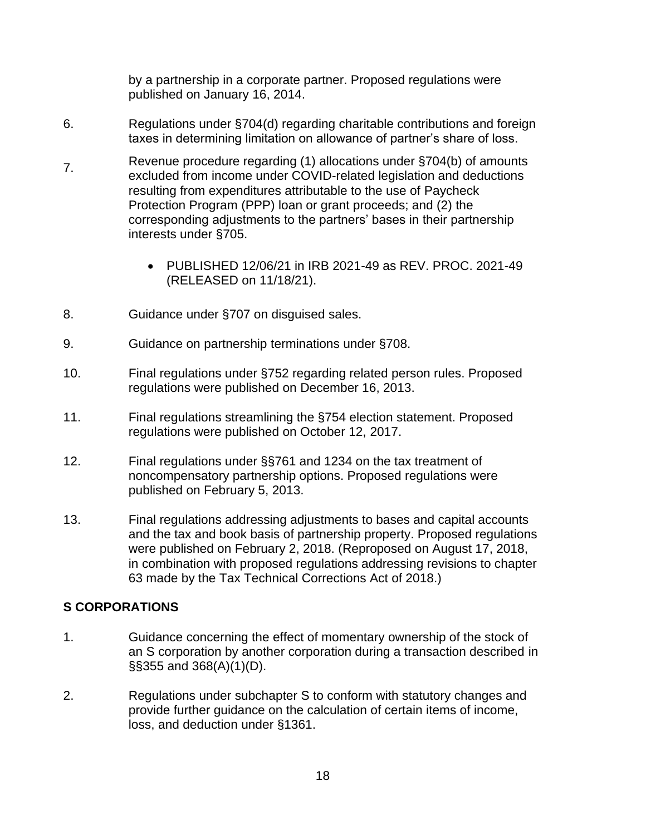by a partnership in a corporate partner. Proposed regulations were published on January 16, 2014.

- 6. Regulations under §704(d) regarding charitable contributions and foreign taxes in determining limitation on allowance of partner's share of loss.
- Revenue procedure regarding (1) allocations under §704(b) of amounts 7. excluded from income under COVID-related legislation and deductions resulting from expenditures attributable to the use of Paycheck Protection Program (PPP) loan or grant proceeds; and (2) the corresponding adjustments to the partners' bases in their partnership interests under §705.
	- PUBLISHED 12/06/21 in IRB 2021-49 as REV. PROC. 2021-49 (RELEASED on 11/18/21).
- 8. Guidance under §707 on disguised sales.
- 9. Guidance on partnership terminations under §708.
- 10. Final regulations under §752 regarding related person rules. Proposed regulations were published on December 16, 2013.
- 11. Final regulations streamlining the §754 election statement. Proposed regulations were published on October 12, 2017.
- 12. Final regulations under §§761 and 1234 on the tax treatment of noncompensatory partnership options. Proposed regulations were published on February 5, 2013.
- were published on February 2, 2018. (Reproposed on August 17, 2018, 13. Final regulations addressing adjustments to bases and capital accounts and the tax and book basis of partnership property. Proposed regulations in combination with proposed regulations addressing revisions to chapter 63 made by the Tax Technical Corrections Act of 2018.)

### **S CORPORATIONS**

- 1. Guidance concerning the effect of momentary ownership of the stock of an S corporation by another corporation during a transaction described in §§355 and 368(A)(1)(D).
- 2. Regulations under subchapter S to conform with statutory changes and provide further guidance on the calculation of certain items of income, loss, and deduction under §1361.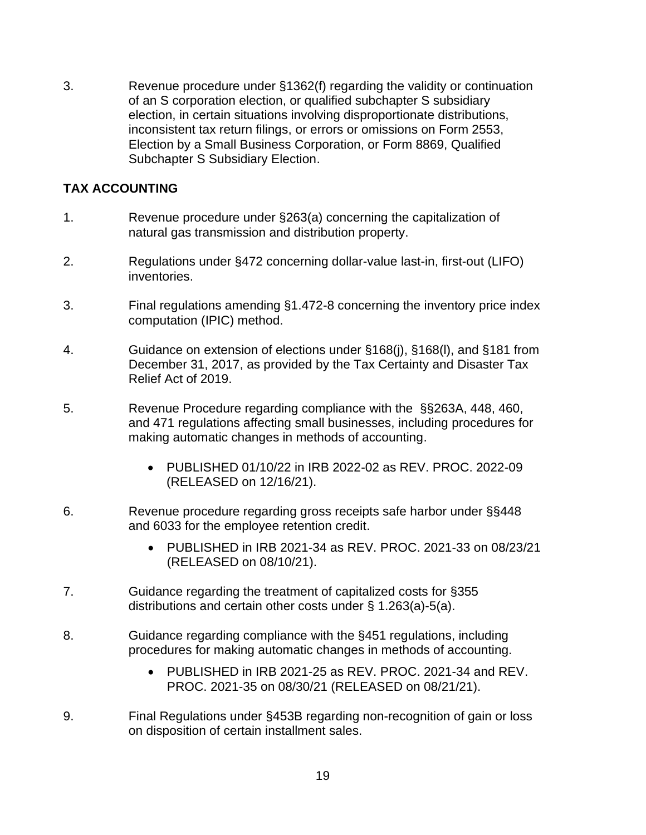3. Revenue procedure under §1362(f) regarding the validity or continuation of an S corporation election, or qualified subchapter S subsidiary election, in certain situations involving disproportionate distributions, inconsistent tax return filings, or errors or omissions on Form 2553, Election by a Small Business Corporation, or Form 8869, Qualified Subchapter S Subsidiary Election.

## **TAX ACCOUNTING**

- 1. Revenue procedure under §263(a) concerning the capitalization of natural gas transmission and distribution property.
- 2. Regulations under §472 concerning dollar-value last-in, first-out (LIFO) inventories.
- 3. Final regulations amending §1.472-8 concerning the inventory price index computation (IPIC) method.
- 4. Guidance on extension of elections under §168(j), §168(l), and §181 from December 31, 2017, as provided by the Tax Certainty and Disaster Tax Relief Act of 2019.
- 5. Revenue Procedure regarding compliance with the §§263A, 448, 460, and 471 regulations affecting small businesses, including procedures for making automatic changes in methods of accounting.
	- PUBLISHED 01/10/22 in IRB 2022-02 as REV. PROC. 2022-09 (RELEASED on 12/16/21).
- 6. Revenue procedure regarding gross receipts safe harbor under §§448 and 6033 for the employee retention credit.
	- PUBLISHED in IRB 2021-34 as REV. PROC. 2021-33 on 08/23/21 (RELEASED on 08/10/21).
- 7. Guidance regarding the treatment of capitalized costs for §355 distributions and certain other costs under § 1.263(a)-5(a).
- 8. Guidance regarding compliance with the §451 regulations, including procedures for making automatic changes in methods of accounting.
	- PUBLISHED in IRB 2021-25 as REV. PROC. 2021-34 and REV. PROC. 2021-35 on 08/30/21 (RELEASED on 08/21/21).
- 9. Final Regulations under §453B regarding non-recognition of gain or loss on disposition of certain installment sales.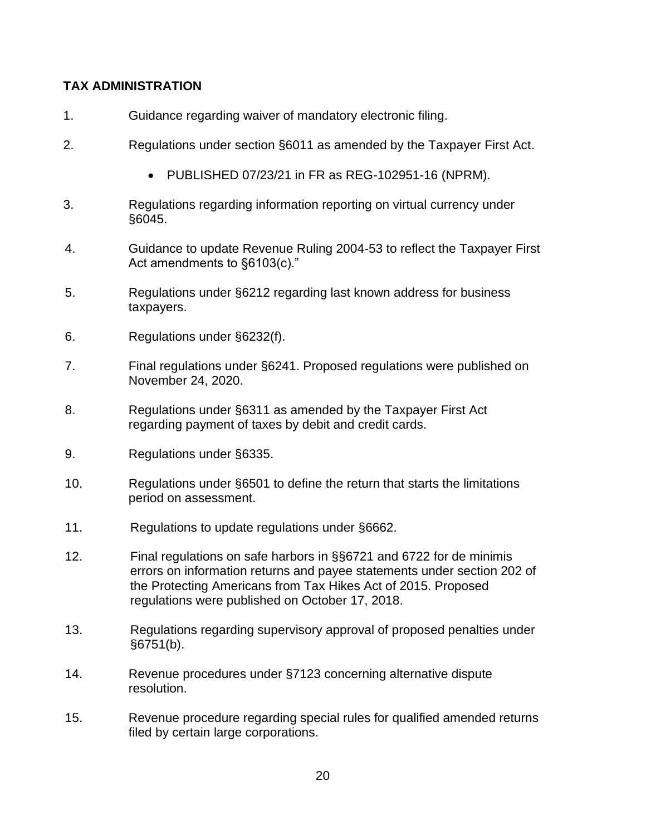# **TAX ADMINISTRATION**

- 1. Guidance regarding waiver of mandatory electronic filing.
- 2. Regulations under section §6011 as amended by the Taxpayer First Act.
	- PUBLISHED 07/23/21 in FR as REG-102951-16 (NPRM).
- 3. Regulations regarding information reporting on virtual currency under §6045.
- 4. Guidance to update Revenue Ruling 2004-53 to reflect the Taxpayer First Act amendments to §6103(c)."
- 5. Regulations under §6212 regarding last known address for business taxpayers.
- 6. Regulations under §6232(f).
- 7. Final regulations under §6241. Proposed regulations were published on November 24, 2020.
- 8. Regulations under §6311 as amended by the Taxpayer First Act regarding payment of taxes by debit and credit cards.
- 9. Regulations under §6335.
- period on assessment. 10. Regulations under §6501 to define the return that starts the limitations
- 11. Regulations to update regulations under §6662.
- regulations were published on October 17, 2018. 12. Final regulations on safe harbors in §§6721 and 6722 for de minimis errors on information returns and payee statements under section 202 of the Protecting Americans from Tax Hikes Act of 2015. Proposed
- 13. Regulations regarding supervisory approval of proposed penalties under §6751(b).
- 14. Revenue procedures under §7123 concerning alternative dispute resolution.
- 15. Revenue procedure regarding special rules for qualified amended returns filed by certain large corporations.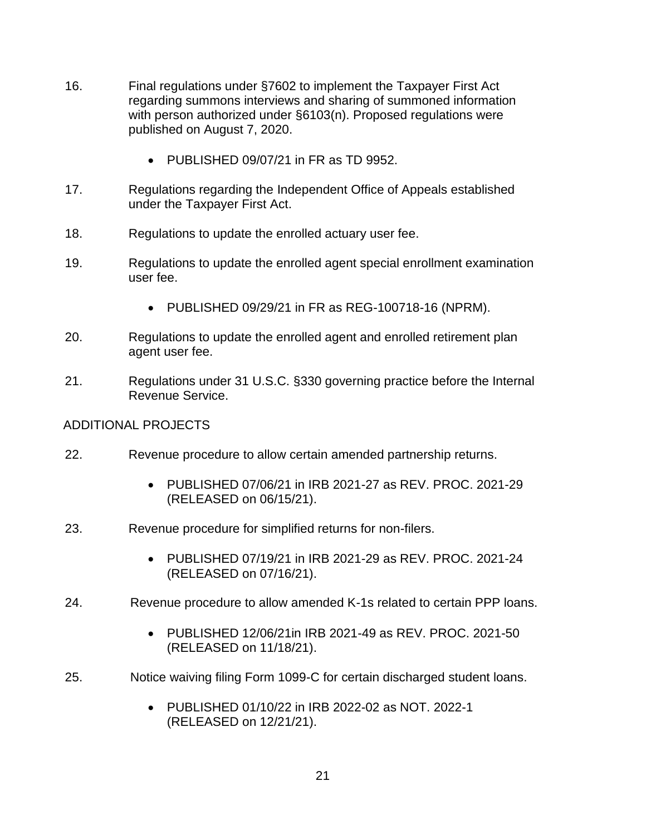- 16. Final regulations under §7602 to implement the Taxpayer First Act regarding summons interviews and sharing of summoned information with person authorized under §6103(n). Proposed regulations were published on August 7, 2020.
	- PUBLISHED 09/07/21 in FR as TD 9952.
- 17. Regulations regarding the Independent Office of Appeals established under the Taxpayer First Act.
- 18. Regulations to update the enrolled actuary user fee.
- 19. Regulations to update the enrolled agent special enrollment examination user fee.
	- PUBLISHED 09/29/21 in FR as REG-100718-16 (NPRM).
- 20. Regulations to update the enrolled agent and enrolled retirement plan agent user fee.
- 21. Regulations under 31 U.S.C. §330 governing practice before the Internal Revenue Service.

### ADDITIONAL PROJECTS

- 22. Revenue procedure to allow certain amended partnership returns.
	- PUBLISHED 07/06/21 in IRB 2021-27 as REV. PROC. 2021-29 (RELEASED on 06/15/21).
- 23. Revenue procedure for simplified returns for non-filers.
	- PUBLISHED 07/19/21 in IRB 2021-29 as REV. PROC. 2021-24 (RELEASED on 07/16/21).
- 24. Revenue procedure to allow amended K-1s related to certain PPP loans.
	- PUBLISHED 12/06/21in IRB 2021-49 as REV. PROC. 2021-50 (RELEASED on 11/18/21).
- 25. Notice waiving filing Form 1099-C for certain discharged student loans.
	- PUBLISHED 01/10/22 in IRB 2022-02 as NOT. 2022-1 (RELEASED on 12/21/21).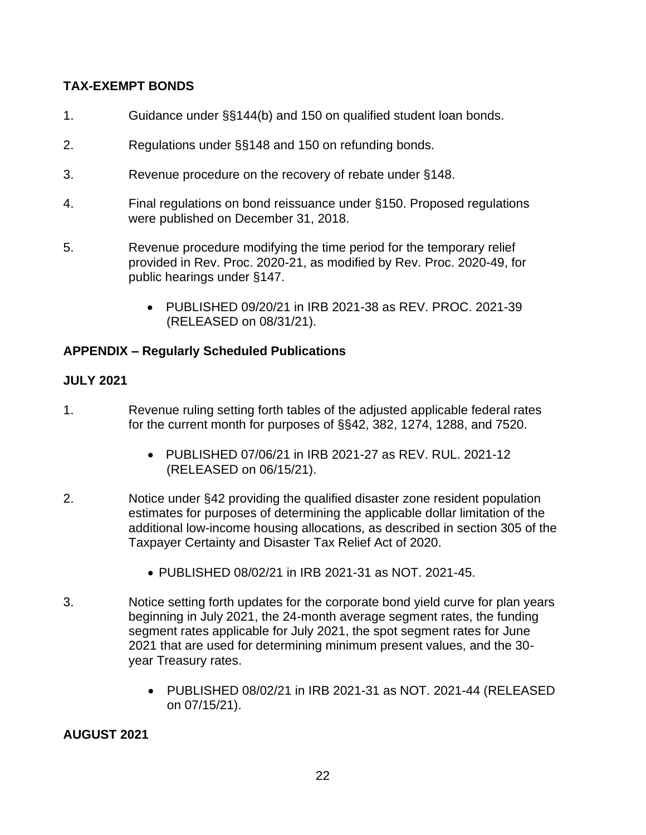# **TAX-EXEMPT BONDS**

- 1. Guidance under §§144(b) and 150 on qualified student loan bonds.
- 2. Regulations under §§148 and 150 on refunding bonds.
- 3. Revenue procedure on the recovery of rebate under §148.
- 4. Final regulations on bond reissuance under §150. Proposed regulations were published on December 31, 2018.
- 5. Revenue procedure modifying the time period for the temporary relief provided in Rev. Proc. 2020-21, as modified by Rev. Proc. 2020-49, for public hearings under §147.
	- PUBLISHED 09/20/21 in IRB 2021-38 as REV. PROC. 2021-39 (RELEASED on 08/31/21).

## **APPENDIX – Regularly Scheduled Publications**

### **JULY 2021**

- 1. Revenue ruling setting forth tables of the adjusted applicable federal rates for the current month for purposes of §§42, 382, 1274, 1288, and 7520.
	- • PUBLISHED 07/06/21 in IRB 2021-27 as REV. RUL. 2021-12 (RELEASED on 06/15/21).
- estimates for purposes of determining the applicable dollar limitation of the 2. Notice under §42 providing the qualified disaster zone resident population additional low-income housing allocations, as described in section 305 of the Taxpayer Certainty and Disaster Tax Relief Act of 2020.
	- PUBLISHED 08/02/21 in IRB 2021-31 as NOT. 2021-45.
- 3. Notice setting forth updates for the corporate bond yield curve for plan years beginning in July 2021, the 24-month average segment rates, the funding segment rates applicable for July 2021, the spot segment rates for June 2021 that are used for determining minimum present values, and the 30 year Treasury rates.
	- PUBLISHED 08/02/21 in IRB 2021-31 as NOT. 2021-44 (RELEASED on 07/15/21).

### **AUGUST 2021**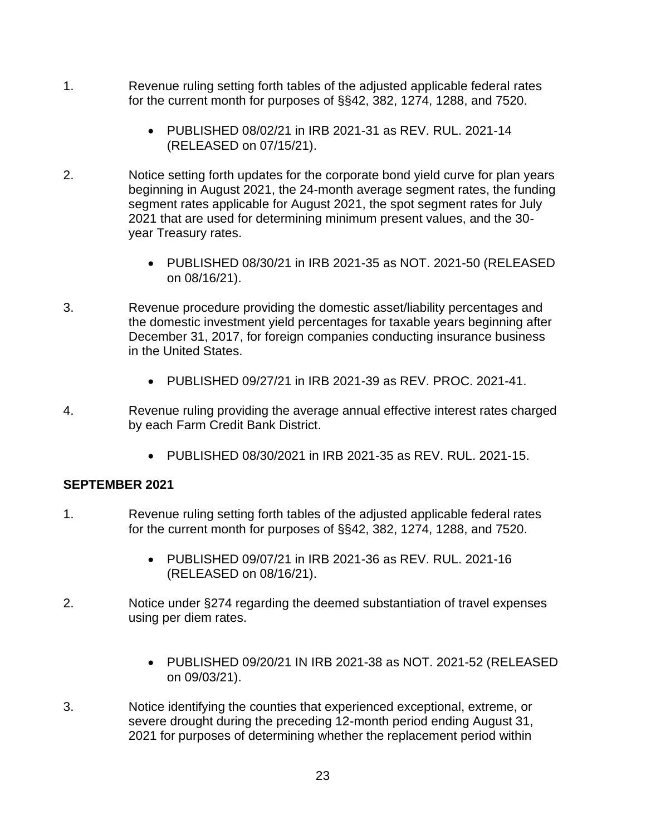- 1. Revenue ruling setting forth tables of the adjusted applicable federal rates for the current month for purposes of §§42, 382, 1274, 1288, and 7520.
	- PUBLISHED 08/02/21 in IRB 2021-31 as REV. RUL. 2021-14 (RELEASED on 07/15/21).
- 2. Notice setting forth updates for the corporate bond yield curve for plan years beginning in August 2021, the 24-month average segment rates, the funding segment rates applicable for August 2021, the spot segment rates for July 2021 that are used for determining minimum present values, and the 30 year Treasury rates.
	- PUBLISHED 08/30/21 in IRB 2021-35 as NOT. 2021-50 (RELEASED on 08/16/21).
- 3. Revenue procedure providing the domestic asset/liability percentages and the domestic investment yield percentages for taxable years beginning after December 31, 2017, for foreign companies conducting insurance business in the United States.
	- PUBLISHED 09/27/21 in IRB 2021-39 as REV. PROC. 2021-41.
- 4. Revenue ruling providing the average annual effective interest rates charged by each Farm Credit Bank District.
	- PUBLISHED 08/30/2021 in IRB 2021-35 as REV. RUL. 2021-15.

### **SEPTEMBER 2021**

- 1. Revenue ruling setting forth tables of the adjusted applicable federal rates for the current month for purposes of §§42, 382, 1274, 1288, and 7520.
	- PUBLISHED 09/07/21 in IRB 2021-36 as REV. RUL. 2021-16 (RELEASED on 08/16/21).
- 2. Notice under §274 regarding the deemed substantiation of travel expenses using per diem rates.
	- PUBLISHED 09/20/21 IN IRB 2021-38 as NOT. 2021-52 (RELEASED on 09/03/21).
- severe drought during the preceding 12-month period ending August 31, 3. Notice identifying the counties that experienced exceptional, extreme, or 2021 for purposes of determining whether the replacement period within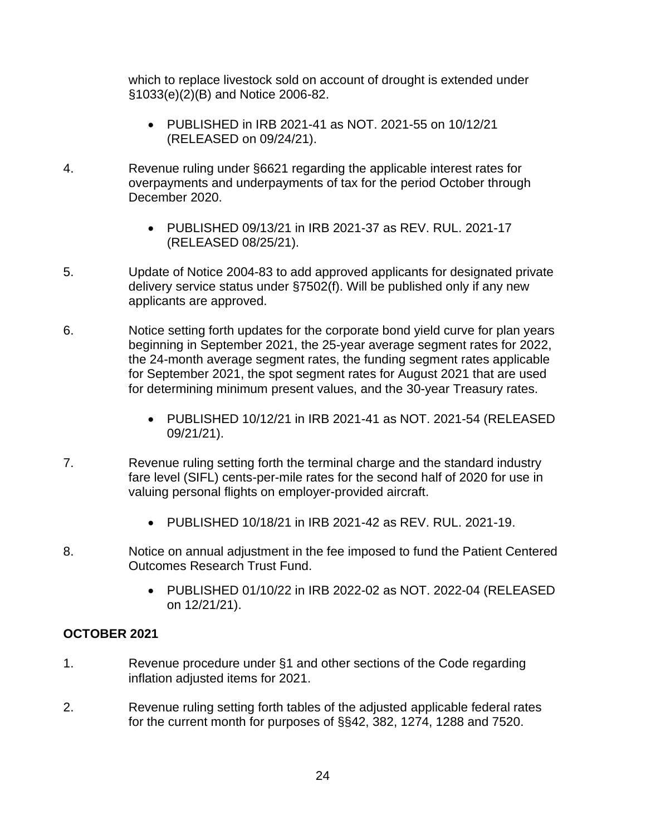which to replace livestock sold on account of drought is extended under §1033(e)(2)(B) and Notice 2006-82.

- PUBLISHED in IRB 2021-41 as NOT. 2021-55 on 10/12/21 (RELEASED on 09/24/21).
- 4. Revenue ruling under §6621 regarding the applicable interest rates for overpayments and underpayments of tax for the period October through December 2020.
	- PUBLISHED 09/13/21 in IRB 2021-37 as REV. RUL. 2021-17 (RELEASED 08/25/21).
- 5. Update of Notice 2004-83 to add approved applicants for designated private delivery service status under §7502(f). Will be published only if any new applicants are approved.
- 6. Notice setting forth updates for the corporate bond yield curve for plan years for determining minimum present values, and the 30-year Treasury rates. beginning in September 2021, the 25-year average segment rates for 2022, the 24-month average segment rates, the funding segment rates applicable for September 2021, the spot segment rates for August 2021 that are used
	- PUBLISHED 10/12/21 in IRB 2021-41 as NOT. 2021-54 (RELEASED 09/21/21).
- 7. Revenue ruling setting forth the terminal charge and the standard industry valuing personal flights on employer-provided aircraft. fare level (SIFL) cents-per-mile rates for the second half of 2020 for use in
	- PUBLISHED 10/18/21 in IRB 2021-42 as REV. RUL. 2021-19.
- 8. Notice on annual adjustment in the fee imposed to fund the Patient Centered Outcomes Research Trust Fund.
	- PUBLISHED 01/10/22 in IRB 2022-02 as NOT. 2022-04 (RELEASED on 12/21/21).

# **OCTOBER 2021**

- 1. Revenue procedure under §1 and other sections of the Code regarding inflation adjusted items for 2021.
- 2. Revenue ruling setting forth tables of the adjusted applicable federal rates for the current month for purposes of §§42, 382, 1274, 1288 and 7520.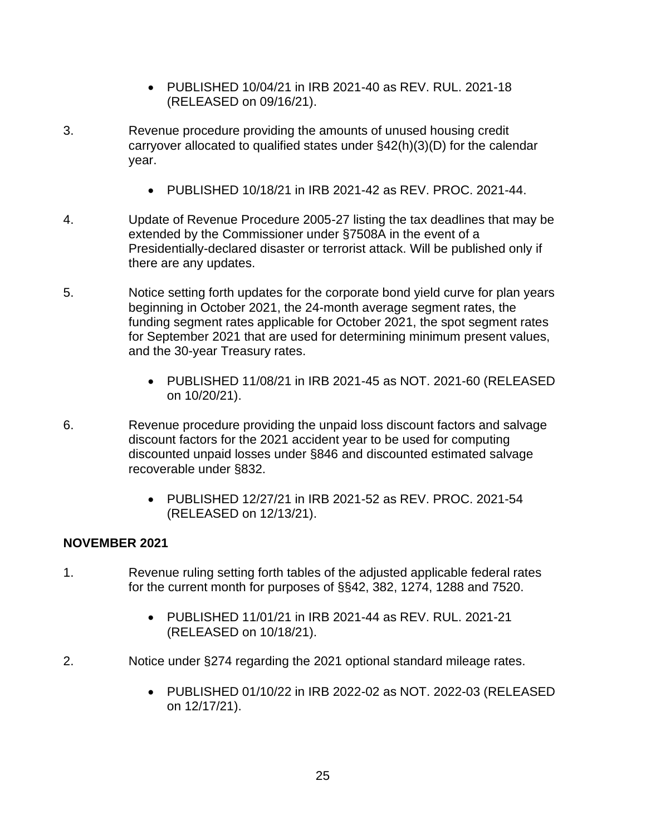- PUBLISHED 10/04/21 in IRB 2021-40 as REV. RUL. 2021-18 (RELEASED on 09/16/21).
- 3. Revenue procedure providing the amounts of unused housing credit carryover allocated to qualified states under §42(h)(3)(D) for the calendar year.
	- PUBLISHED 10/18/21 in IRB 2021-42 as REV. PROC. 2021-44.
- 4. Update of Revenue Procedure 2005-27 listing the tax deadlines that may be extended by the Commissioner under §7508A in the event of a Presidentially-declared disaster or terrorist attack. Will be published only if there are any updates.
- 5. Notice setting forth updates for the corporate bond yield curve for plan years beginning in October 2021, the 24-month average segment rates, the funding segment rates applicable for October 2021, the spot segment rates for September 2021 that are used for determining minimum present values, and the 30-year Treasury rates.
	- PUBLISHED 11/08/21 in IRB 2021-45 as NOT. 2021-60 (RELEASED on 10/20/21).
- 6. Revenue procedure providing the unpaid loss discount factors and salvage discount factors for the 2021 accident year to be used for computing discounted unpaid losses under §846 and discounted estimated salvage recoverable under §832.
	- PUBLISHED 12/27/21 in IRB 2021-52 as REV. PROC. 2021-54 (RELEASED on 12/13/21).

### **NOVEMBER 2021**

- 1. Revenue ruling setting forth tables of the adjusted applicable federal rates for the current month for purposes of §§42, 382, 1274, 1288 and 7520.
	- PUBLISHED 11/01/21 in IRB 2021-44 as REV. RUL. 2021-21 (RELEASED on 10/18/21).
- 2. Notice under §274 regarding the 2021 optional standard mileage rates.
	- PUBLISHED 01/10/22 in IRB 2022-02 as NOT. 2022-03 (RELEASED on 12/17/21).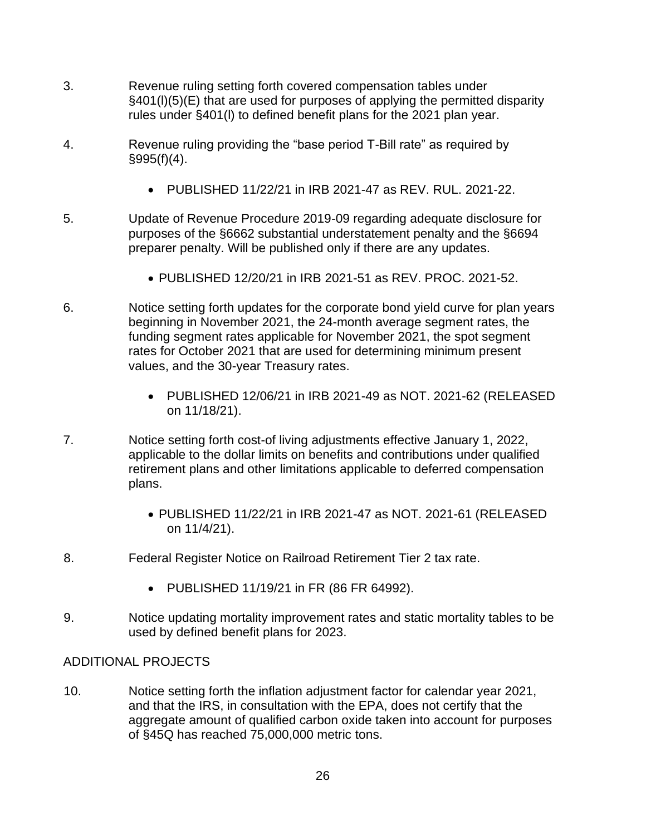- 3. Revenue ruling setting forth covered compensation tables under §401(l)(5)(E) that are used for purposes of applying the permitted disparity rules under §401(l) to defined benefit plans for the 2021 plan year.
- 4. Revenue ruling providing the "base period T-Bill rate" as required by  $§995(f)(4)$ .
	- PUBLISHED 11/22/21 in IRB 2021-47 as REV. RUL. 2021-22.
- 5. Update of Revenue Procedure 2019-09 regarding adequate disclosure for purposes of the §6662 substantial understatement penalty and the §6694 preparer penalty. Will be published only if there are any updates.
	- PUBLISHED 12/20/21 in IRB 2021-51 as REV. PROC. 2021-52.
- 6. Notice setting forth updates for the corporate bond yield curve for plan years beginning in November 2021, the 24-month average segment rates, the funding segment rates applicable for November 2021, the spot segment rates for October 2021 that are used for determining minimum present values, and the 30-year Treasury rates.
	- PUBLISHED 12/06/21 in IRB 2021-49 as NOT. 2021-62 (RELEASED on 11/18/21).
- 7. Notice setting forth cost-of living adjustments effective January 1, 2022, applicable to the dollar limits on benefits and contributions under qualified retirement plans and other limitations applicable to deferred compensation plans.
	- PUBLISHED 11/22/21 in IRB 2021-47 as NOT. 2021-61 (RELEASED on 11/4/21).
- 8. Federal Register Notice on Railroad Retirement Tier 2 tax rate.
	- PUBLISHED 11/19/21 in FR (86 FR 64992).
- 9. Notice updating mortality improvement rates and static mortality tables to be used by defined benefit plans for 2023.

# ADDITIONAL PROJECTS

 10. Notice setting forth the inflation adjustment factor for calendar year 2021, of §45Q has reached 75,000,000 metric tons. and that the IRS, in consultation with the EPA, does not certify that the aggregate amount of qualified carbon oxide taken into account for purposes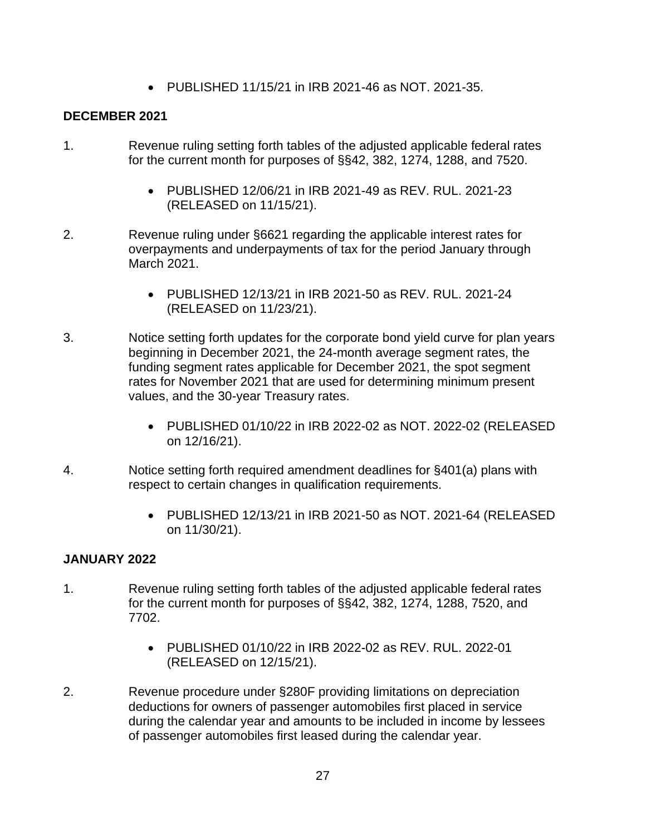• PUBLISHED 11/15/21 in IRB 2021-46 as NOT. 2021-35.

## **DECEMBER 2021**

- 1. Revenue ruling setting forth tables of the adjusted applicable federal rates for the current month for purposes of §§42, 382, 1274, 1288, and 7520.
	- PUBLISHED 12/06/21 in IRB 2021-49 as REV. RUL. 2021-23 (RELEASED on 11/15/21).
- 2. Revenue ruling under §6621 regarding the applicable interest rates for overpayments and underpayments of tax for the period January through March 2021.
	- PUBLISHED 12/13/21 in IRB 2021-50 as REV. RUL. 2021-24 (RELEASED on 11/23/21).
- 3. Notice setting forth updates for the corporate bond yield curve for plan years beginning in December 2021, the 24-month average segment rates, the funding segment rates applicable for December 2021, the spot segment rates for November 2021 that are used for determining minimum present values, and the 30-year Treasury rates.
	- PUBLISHED 01/10/22 in IRB 2022-02 as NOT. 2022-02 (RELEASED on 12/16/21).
- 4. Notice setting forth required amendment deadlines for §401(a) plans with respect to certain changes in qualification requirements.
	- PUBLISHED 12/13/21 in IRB 2021-50 as NOT. 2021-64 (RELEASED on 11/30/21).

### **JANUARY 2022**

- 1. Revenue ruling setting forth tables of the adjusted applicable federal rates for the current month for purposes of §§42, 382, 1274, 1288, 7520, and 7702.
	- PUBLISHED 01/10/22 in IRB 2022-02 as REV. RUL. 2022-01 (RELEASED on 12/15/21).
- 2. Revenue procedure under §280F providing limitations on depreciation deductions for owners of passenger automobiles first placed in service during the calendar year and amounts to be included in income by lessees of passenger automobiles first leased during the calendar year.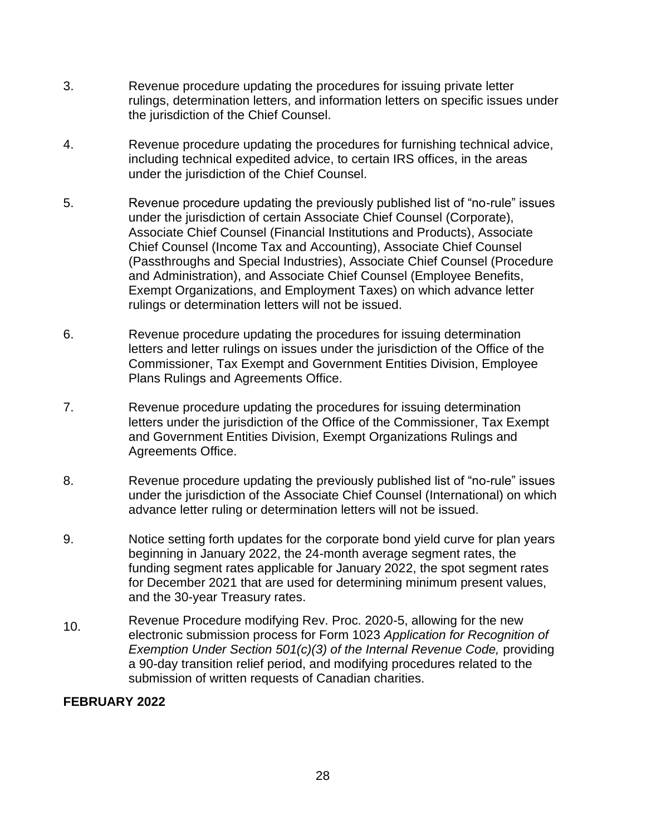- 3. Revenue procedure updating the procedures for issuing private letter rulings, determination letters, and information letters on specific issues under the jurisdiction of the Chief Counsel.
- under the jurisdiction of the Chief Counsel. 4. Revenue procedure updating the procedures for furnishing technical advice, including technical expedited advice, to certain IRS offices, in the areas
- and Administration), and Associate Chief Counsel (Employee Benefits, 5. Revenue procedure updating the previously published list of "no-rule" issues under the jurisdiction of certain Associate Chief Counsel (Corporate), Associate Chief Counsel (Financial Institutions and Products), Associate Chief Counsel (Income Tax and Accounting), Associate Chief Counsel (Passthroughs and Special Industries), Associate Chief Counsel (Procedure Exempt Organizations, and Employment Taxes) on which advance letter rulings or determination letters will not be issued.
- 6. Revenue procedure updating the procedures for issuing determination letters and letter rulings on issues under the jurisdiction of the Office of the Commissioner, Tax Exempt and Government Entities Division, Employee Plans Rulings and Agreements Office.
- 7. Revenue procedure updating the procedures for issuing determination letters under the jurisdiction of the Office of the Commissioner, Tax Exempt and Government Entities Division, Exempt Organizations Rulings and Agreements Office.
- 8. Revenue procedure updating the previously published list of "no-rule" issues under the jurisdiction of the Associate Chief Counsel (International) on which advance letter ruling or determination letters will not be issued.
- 9. Notice setting forth updates for the corporate bond yield curve for plan years beginning in January 2022, the 24-month average segment rates, the funding segment rates applicable for January 2022, the spot segment rates for December 2021 that are used for determining minimum present values, and the 30-year Treasury rates.
- Revenue Procedure modifying Rev. Proc. 2020-5, allowing for the new<br>electronic submission process for Form 1023 *Application for Recognition of Exemption Under Section 501(c)(3) of the Internal Revenue Code, providing* a 90-day transition relief period, and modifying procedures related to the submission of written requests of Canadian charities.

### **FEBRUARY 2022**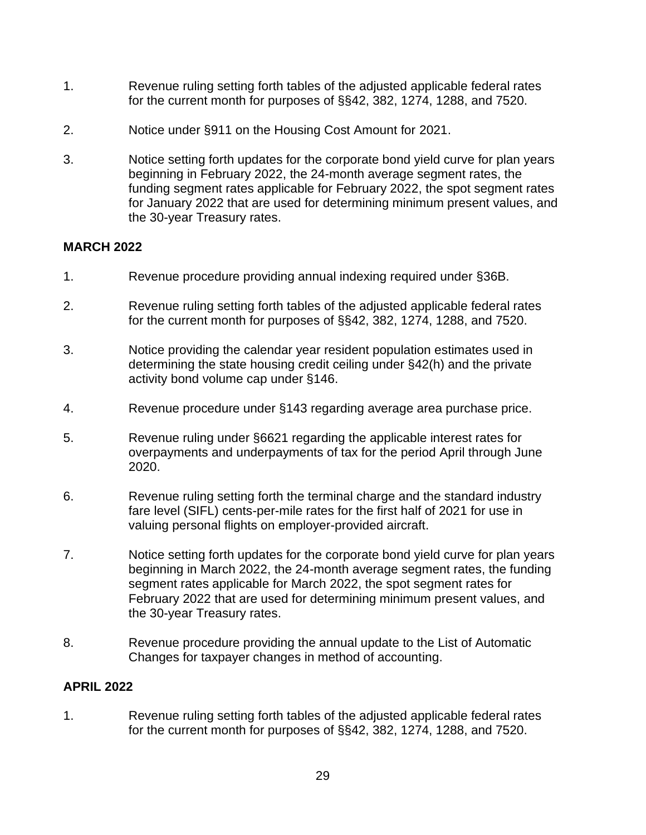- 1. Revenue ruling setting forth tables of the adjusted applicable federal rates for the current month for purposes of §§42, 382, 1274, 1288, and 7520.
- 2. Notice under §911 on the Housing Cost Amount for 2021.
- 3. Notice setting forth updates for the corporate bond yield curve for plan years beginning in February 2022, the 24-month average segment rates, the funding segment rates applicable for February 2022, the spot segment rates for January 2022 that are used for determining minimum present values, and the 30-year Treasury rates.

## **MARCH 2022**

- 1. Revenue procedure providing annual indexing required under §36B.
- 2. Revenue ruling setting forth tables of the adjusted applicable federal rates for the current month for purposes of §§42, 382, 1274, 1288, and 7520.
- determining the state housing credit ceiling under §42(h) and the private 3. Notice providing the calendar year resident population estimates used in activity bond volume cap under §146.
- 4. Revenue procedure under §143 regarding average area purchase price.
- 5. Revenue ruling under §6621 regarding the applicable interest rates for overpayments and underpayments of tax for the period April through June 2020.
- 6. Revenue ruling setting forth the terminal charge and the standard industry fare level (SIFL) cents-per-mile rates for the first half of 2021 for use in valuing personal flights on employer-provided aircraft.
- 7. Notice setting forth updates for the corporate bond yield curve for plan years beginning in March 2022, the 24-month average segment rates, the funding segment rates applicable for March 2022, the spot segment rates for February 2022 that are used for determining minimum present values, and the 30-year Treasury rates.
- 8. Revenue procedure providing the annual update to the List of Automatic Changes for taxpayer changes in method of accounting.

### **APRIL 2022**

 1. Revenue ruling setting forth tables of the adjusted applicable federal rates for the current month for purposes of §§42, 382, 1274, 1288, and 7520.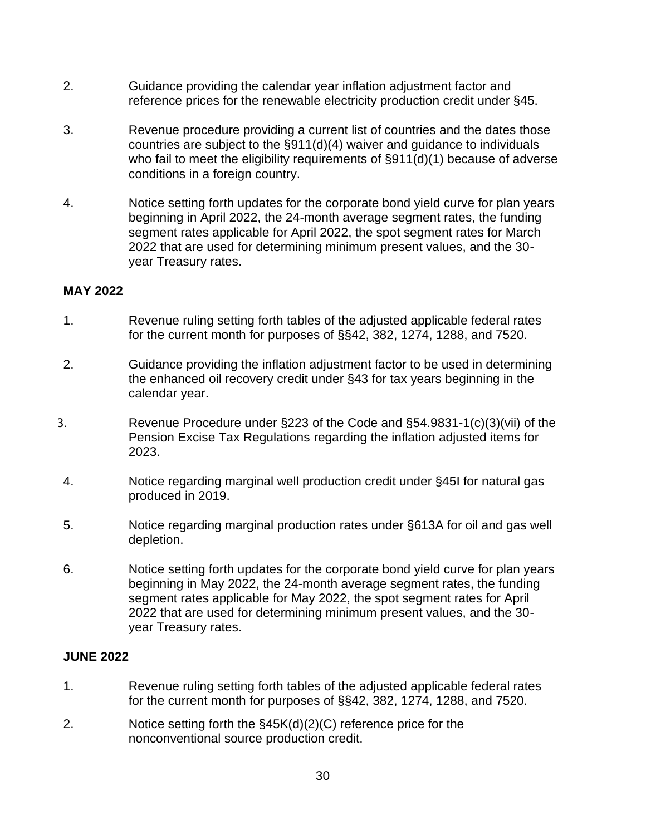- 2. Guidance providing the calendar year inflation adjustment factor and reference prices for the renewable electricity production credit under §45.
- conditions in a foreign country. 3. Revenue procedure providing a current list of countries and the dates those countries are subject to the §911(d)(4) waiver and guidance to individuals who fail to meet the eligibility requirements of §911(d)(1) because of adverse
- 4. Notice setting forth updates for the corporate bond yield curve for plan years beginning in April 2022, the 24-month average segment rates, the funding segment rates applicable for April 2022, the spot segment rates for March 2022 that are used for determining minimum present values, and the 30 year Treasury rates.

#### **MAY 2022**

- 1. Revenue ruling setting forth tables of the adjusted applicable federal rates for the current month for purposes of §§42, 382, 1274, 1288, and 7520.
- 2. Guidance providing the inflation adjustment factor to be used in determining the enhanced oil recovery credit under §43 for tax years beginning in the calendar year.
- 3. Revenue Procedure under §223 of the Code and §54.9831-1(c)(3)(vii) of the Pension Excise Tax Regulations regarding the inflation adjusted items for 2023.
- 4. Notice regarding marginal well production credit under §45I for natural gas produced in 2019.
- 5. Notice regarding marginal production rates under §613A for oil and gas well depletion.
- 6. Notice setting forth updates for the corporate bond yield curve for plan years beginning in May 2022, the 24-month average segment rates, the funding segment rates applicable for May 2022, the spot segment rates for April 2022 that are used for determining minimum present values, and the 30 year Treasury rates.

#### **JUNE 2022**

- 1. Revenue ruling setting forth tables of the adjusted applicable federal rates for the current month for purposes of §§42, 382, 1274, 1288, and 7520.
- 2. Notice setting forth the §45K(d)(2)(C) reference price for the nonconventional source production credit.